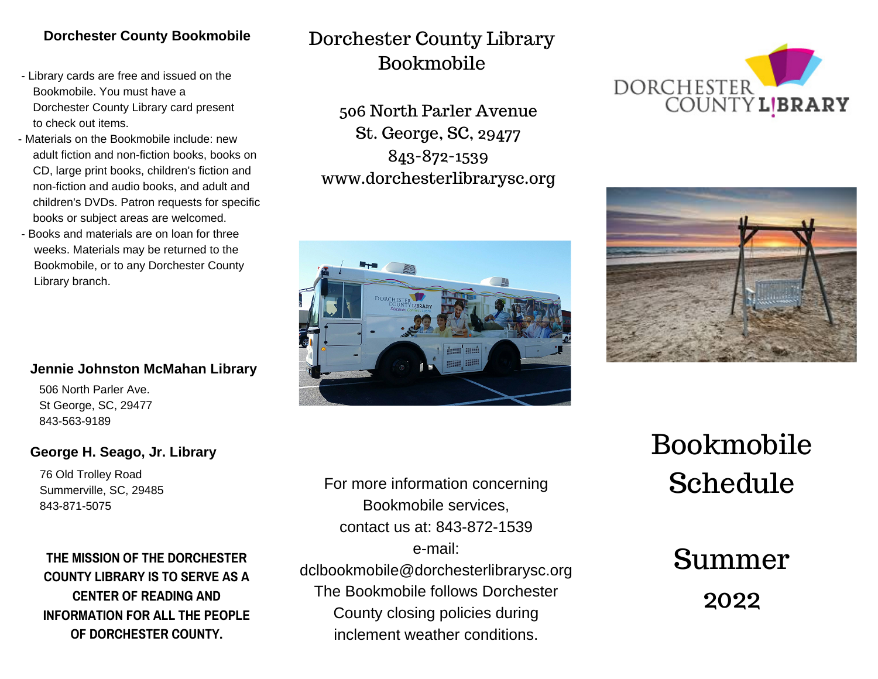#### **Dorchester County Bookmobile**

- Library cards are free and issued on the Bookmobile. You must have a Dorchester County Library card present to check out items.
- Materials on the Bookmobile include: new adult fiction and non-fiction books, books on CD, large print books, children's fiction and non-fiction and audio books, and adult and children's DVDs. Patron requests for specific books or subject areas are welcomed.
- Books and materials are on loan for three weeks. Materials may be returned to the Bookmobile, or to any Dorchester County Library branch.

#### **Jennie Johnston McMahan Library**

506 North Parler Ave. St George, SC, 29477 843-563-9189

#### **George H. Seago, Jr. Library**

76 Old Trolley Road Summerville, SC, 29485 843-871-5075

### **THE MISSION OF THE DORCHESTER COUNTY LIBRARY IS TO SERVE AS A CENTER OF READING AND INFORMATION FOR ALL THE PEOPLE OF DORCHESTER COUNTY.**

## Dorchester County Library Bookmobile

506 North Parler Avenue St. George, SC, 29477 843-872-1539 www.dorchesterlibrarysc.org







Bookmobile Schedule

> Summer 2022

For more information concerning Bookmobile services, contact us at: 843-872-1539 e-mail: dclbookmobile@dorchesterlibrarysc.org The Bookmobile follows Dorchester County closing policies during inclement weather conditions.